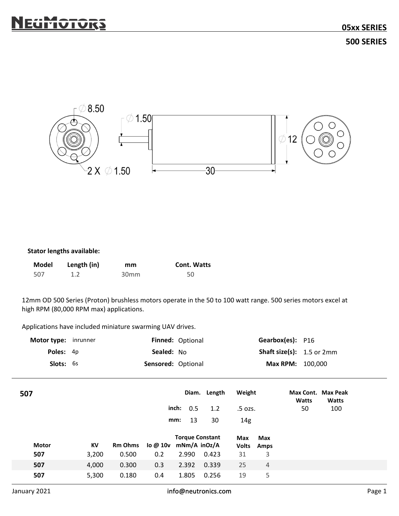

## Stator lengths available:

|     | Model Length (in) | mm               | <b>Cont. Watts</b> |
|-----|-------------------|------------------|--------------------|
| 507 |                   | 30 <sub>mm</sub> | 50                 |

| high RPM (80,000 RPM max) applications.<br>Applications have included miniature swarming UAV drives. |                      |                    |            |                                        |                     |                            |                     |                                      |              |        |
|------------------------------------------------------------------------------------------------------|----------------------|--------------------|------------|----------------------------------------|---------------------|----------------------------|---------------------|--------------------------------------|--------------|--------|
|                                                                                                      | Motor type: inrunner |                    |            | Finned: Optional                       |                     |                            |                     | Gearbox(es): P16                     |              |        |
|                                                                                                      | Poles: 4p            |                    | Sealed: No |                                        |                     |                            |                     | <b>Shaft size(s):</b> $1.5$ or $2mm$ |              |        |
| Slots: 6s                                                                                            |                      | Sensored: Optional |            |                                        | Max RPM: 100,000    |                            |                     |                                      |              |        |
| 507                                                                                                  |                      |                    |            |                                        | Diam. Length        | Weight                     |                     | Max Cont. Max Peak<br>Watts          | <b>Watts</b> |        |
|                                                                                                      |                      |                    |            | inch:<br>0.5                           | 1.2                 | .5 ozs.                    |                     | 50                                   | 100          |        |
|                                                                                                      |                      |                    |            | 13<br>mm:                              | 30                  | 14g                        |                     |                                      |              |        |
| Motor                                                                                                | KV                   | <b>Rm Ohms</b>     | $\log 10v$ | <b>Torque Constant</b><br>mNm/A inOz/A |                     | <b>Max</b><br><b>Volts</b> | <b>Max</b><br>Amps  |                                      |              |        |
| 507<br>507                                                                                           | 3,200<br>4,000       | 0.500<br>0.300     | 0.2<br>0.3 | 2.990<br>2.392                         | 0.423<br>0.339      | 31<br>25                   | 3<br>$\overline{4}$ |                                      |              |        |
| 507                                                                                                  | 5,300                | 0.180              | 0.4        | 1.805                                  | 0.256               | 19                         | 5                   |                                      |              |        |
| anuary 2021                                                                                          |                      |                    |            |                                        | info@neutronics.com |                            |                     |                                      |              | Page 1 |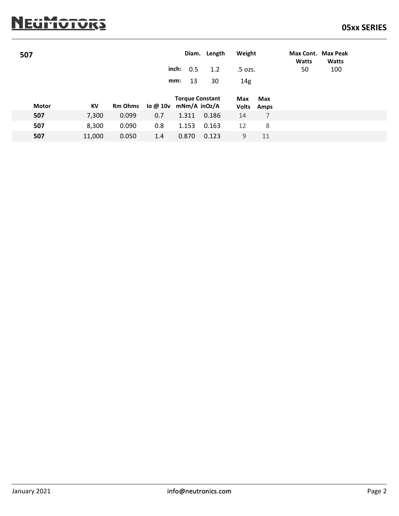|              | <u>IEGMOTORS</u> |                |          |                        |        |                |                  |                    | <b>05xx SERIES</b> |
|--------------|------------------|----------------|----------|------------------------|--------|----------------|------------------|--------------------|--------------------|
| 507          |                  |                |          | Diam.                  | Length | Weight         |                  | Max Cont. Max Peak |                    |
|              |                  |                |          |                        |        |                |                  | <b>Watts</b>       | <b>Watts</b>       |
|              |                  |                |          | inch:<br>0.5           | 1.2    | .5 ozs.        |                  | 50                 | 100                |
|              |                  |                |          | 13<br>mm:              | 30     | $14\mathrm{g}$ |                  |                    |                    |
|              |                  |                |          | <b>Torque Constant</b> |        | Max            | Max              |                    |                    |
| <b>Motor</b> | KV               | <b>Rm Ohms</b> | lo @ 10v | mNm/A inOz/A           |        | <b>Volts</b>   | Amps             |                    |                    |
| 507          | 7,300            | 0.099          | 0.7      | 1.311                  | 0.186  | 14             | $\boldsymbol{7}$ |                    |                    |
| 507          | 8,300            | 0.090          | 0.8      | 1.153                  | 0.163  | 12             | $\,8\,$          |                    |                    |
| 507          | 11,000           | 0.050          | 1.4      | 0.870                  | 0.123  | $\mathsf 9$    | 11               |                    |                    |